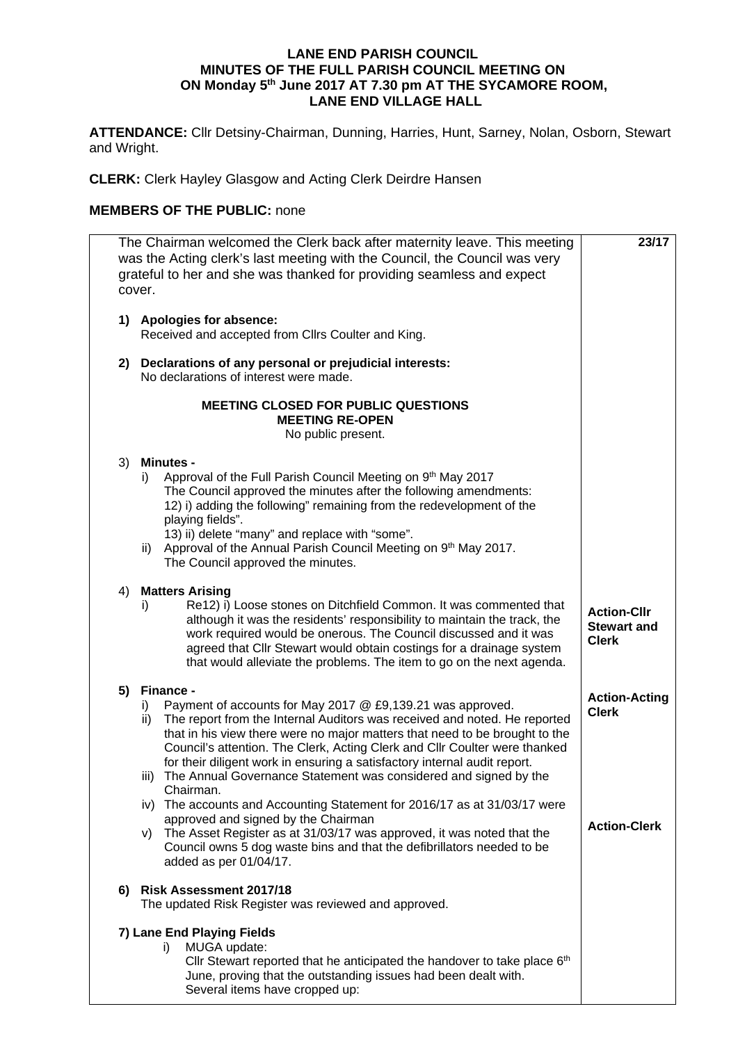## **LANE END PARISH COUNCIL MINUTES OF THE FULL PARISH COUNCIL MEETING ON ON Monday 5th June 2017 AT 7.30 pm AT THE SYCAMORE ROOM, LANE END VILLAGE HALL**

**ATTENDANCE:** Cllr Detsiny-Chairman, Dunning, Harries, Hunt, Sarney, Nolan, Osborn, Stewart and Wright.

**CLERK:** Clerk Hayley Glasgow and Acting Clerk Deirdre Hansen

## **MEMBERS OF THE PUBLIC:** none

| The Chairman welcomed the Clerk back after maternity leave. This meeting<br>was the Acting clerk's last meeting with the Council, the Council was very<br>grateful to her and she was thanked for providing seamless and expect<br>cover. | 23/17                                                                                                                                                                                                                                                                                                                                                                                                                                                                                                                                                                                                                    |                                                          |  |  |  |
|-------------------------------------------------------------------------------------------------------------------------------------------------------------------------------------------------------------------------------------------|--------------------------------------------------------------------------------------------------------------------------------------------------------------------------------------------------------------------------------------------------------------------------------------------------------------------------------------------------------------------------------------------------------------------------------------------------------------------------------------------------------------------------------------------------------------------------------------------------------------------------|----------------------------------------------------------|--|--|--|
| 1)                                                                                                                                                                                                                                        | <b>Apologies for absence:</b><br>Received and accepted from Cllrs Coulter and King.                                                                                                                                                                                                                                                                                                                                                                                                                                                                                                                                      |                                                          |  |  |  |
| 2)                                                                                                                                                                                                                                        | Declarations of any personal or prejudicial interests:<br>No declarations of interest were made.                                                                                                                                                                                                                                                                                                                                                                                                                                                                                                                         |                                                          |  |  |  |
|                                                                                                                                                                                                                                           | <b>MEETING CLOSED FOR PUBLIC QUESTIONS</b><br><b>MEETING RE-OPEN</b><br>No public present.                                                                                                                                                                                                                                                                                                                                                                                                                                                                                                                               |                                                          |  |  |  |
| 3)                                                                                                                                                                                                                                        | <b>Minutes -</b><br>Approval of the Full Parish Council Meeting on 9th May 2017<br>i)<br>The Council approved the minutes after the following amendments:<br>12) i) adding the following" remaining from the redevelopment of the<br>playing fields".<br>13) ii) delete "many" and replace with "some".<br>Approval of the Annual Parish Council Meeting on 9th May 2017.<br>ii)<br>The Council approved the minutes.                                                                                                                                                                                                    |                                                          |  |  |  |
| 4)                                                                                                                                                                                                                                        | <b>Matters Arising</b><br>Re12) i) Loose stones on Ditchfield Common. It was commented that<br>i)<br>although it was the residents' responsibility to maintain the track, the<br>work required would be onerous. The Council discussed and it was<br>agreed that Cllr Stewart would obtain costings for a drainage system<br>that would alleviate the problems. The item to go on the next agenda.                                                                                                                                                                                                                       | <b>Action-Cllr</b><br><b>Stewart and</b><br><b>Clerk</b> |  |  |  |
| 5)                                                                                                                                                                                                                                        | Finance -<br>Payment of accounts for May 2017 @ £9,139.21 was approved.<br>i)<br>The report from the Internal Auditors was received and noted. He reported<br>ii)<br>that in his view there were no major matters that need to be brought to the<br>Council's attention. The Clerk, Acting Clerk and Cllr Coulter were thanked<br>for their diligent work in ensuring a satisfactory internal audit report.<br>The Annual Governance Statement was considered and signed by the<br>iii)<br>Chairman.<br>iv) The accounts and Accounting Statement for 2016/17 as at 31/03/17 were<br>approved and signed by the Chairman | <b>Action-Acting</b><br><b>Clerk</b>                     |  |  |  |
|                                                                                                                                                                                                                                           | The Asset Register as at 31/03/17 was approved, it was noted that the<br>V)<br>Council owns 5 dog waste bins and that the defibrillators needed to be<br>added as per 01/04/17.                                                                                                                                                                                                                                                                                                                                                                                                                                          | <b>Action-Clerk</b>                                      |  |  |  |
| 6)                                                                                                                                                                                                                                        | <b>Risk Assessment 2017/18</b><br>The updated Risk Register was reviewed and approved.                                                                                                                                                                                                                                                                                                                                                                                                                                                                                                                                   |                                                          |  |  |  |
|                                                                                                                                                                                                                                           | 7) Lane End Playing Fields<br>MUGA update:<br>i)<br>Cllr Stewart reported that he anticipated the handover to take place 6 <sup>th</sup><br>June, proving that the outstanding issues had been dealt with.<br>Several items have cropped up:                                                                                                                                                                                                                                                                                                                                                                             |                                                          |  |  |  |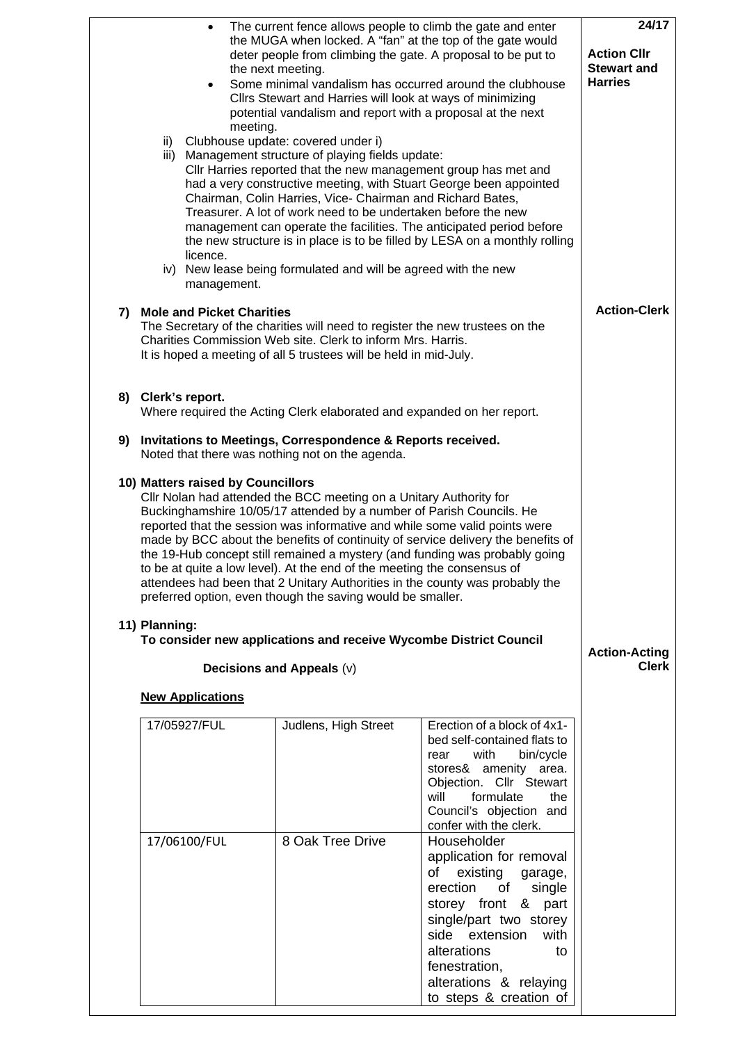|                                                    | ii)<br>iii)                                                                                                                                                                                                                                      | $\bullet$<br>meeting.<br>licence.<br>management. | the next meeting.<br>Cllrs Stewart and Harries will look at ways of minimizing<br>Clubhouse update: covered under i)<br>Management structure of playing fields update:<br>Chairman, Colin Harries, Vice- Chairman and Richard Bates,<br>Treasurer. A lot of work need to be undertaken before the new<br>iv) New lease being formulated and will be agreed with the new | The current fence allows people to climb the gate and enter<br>the MUGA when locked. A "fan" at the top of the gate would<br>deter people from climbing the gate. A proposal to be put to<br>Some minimal vandalism has occurred around the clubhouse<br>potential vandalism and report with a proposal at the next<br>Cllr Harries reported that the new management group has met and<br>had a very constructive meeting, with Stuart George been appointed<br>management can operate the facilities. The anticipated period before<br>the new structure is in place is to be filled by LESA on a monthly rolling | 24/17<br><b>Action Cllr</b><br><b>Stewart and</b><br><b>Harries</b> |
|----------------------------------------------------|--------------------------------------------------------------------------------------------------------------------------------------------------------------------------------------------------------------------------------------------------|--------------------------------------------------|-------------------------------------------------------------------------------------------------------------------------------------------------------------------------------------------------------------------------------------------------------------------------------------------------------------------------------------------------------------------------|--------------------------------------------------------------------------------------------------------------------------------------------------------------------------------------------------------------------------------------------------------------------------------------------------------------------------------------------------------------------------------------------------------------------------------------------------------------------------------------------------------------------------------------------------------------------------------------------------------------------|---------------------------------------------------------------------|
|                                                    | 7) Mole and Picket Charities<br>The Secretary of the charities will need to register the new trustees on the<br>Charities Commission Web site. Clerk to inform Mrs. Harris.<br>It is hoped a meeting of all 5 trustees will be held in mid-July. | <b>Action-Clerk</b>                              |                                                                                                                                                                                                                                                                                                                                                                         |                                                                                                                                                                                                                                                                                                                                                                                                                                                                                                                                                                                                                    |                                                                     |
|                                                    | 8) Clerk's report.<br>Where required the Acting Clerk elaborated and expanded on her report.                                                                                                                                                     |                                                  |                                                                                                                                                                                                                                                                                                                                                                         |                                                                                                                                                                                                                                                                                                                                                                                                                                                                                                                                                                                                                    |                                                                     |
| 9)                                                 | Invitations to Meetings, Correspondence & Reports received.<br>Noted that there was nothing not on the agenda.                                                                                                                                   |                                                  |                                                                                                                                                                                                                                                                                                                                                                         |                                                                                                                                                                                                                                                                                                                                                                                                                                                                                                                                                                                                                    |                                                                     |
| 10) Matters raised by Councillors<br>11) Planning: |                                                                                                                                                                                                                                                  |                                                  |                                                                                                                                                                                                                                                                                                                                                                         |                                                                                                                                                                                                                                                                                                                                                                                                                                                                                                                                                                                                                    |                                                                     |
|                                                    |                                                                                                                                                                                                                                                  |                                                  | Decisions and Appeals (v)                                                                                                                                                                                                                                                                                                                                               | To consider new applications and receive Wycombe District Council                                                                                                                                                                                                                                                                                                                                                                                                                                                                                                                                                  | <b>Action-Acting</b><br><b>Clerk</b>                                |
|                                                    |                                                                                                                                                                                                                                                  | <b>New Applications</b>                          |                                                                                                                                                                                                                                                                                                                                                                         |                                                                                                                                                                                                                                                                                                                                                                                                                                                                                                                                                                                                                    |                                                                     |
|                                                    |                                                                                                                                                                                                                                                  | 17/05927/FUL                                     | Judlens, High Street                                                                                                                                                                                                                                                                                                                                                    | Erection of a block of 4x1-<br>bed self-contained flats to<br>with<br>bin/cycle<br>rear<br>stores& amenity area.<br>Objection. Cllr Stewart<br>formulate<br>will<br>the<br>Council's objection and<br>confer with the clerk.                                                                                                                                                                                                                                                                                                                                                                                       |                                                                     |
|                                                    |                                                                                                                                                                                                                                                  | 17/06100/FUL                                     | 8 Oak Tree Drive                                                                                                                                                                                                                                                                                                                                                        | Householder<br>application for removal<br>of<br>existing<br>garage,<br>erection<br>of<br>single<br>storey front & part<br>single/part two storey<br>side extension<br>with<br>alterations<br>to<br>fenestration,<br>alterations & relaying<br>to steps & creation of                                                                                                                                                                                                                                                                                                                                               |                                                                     |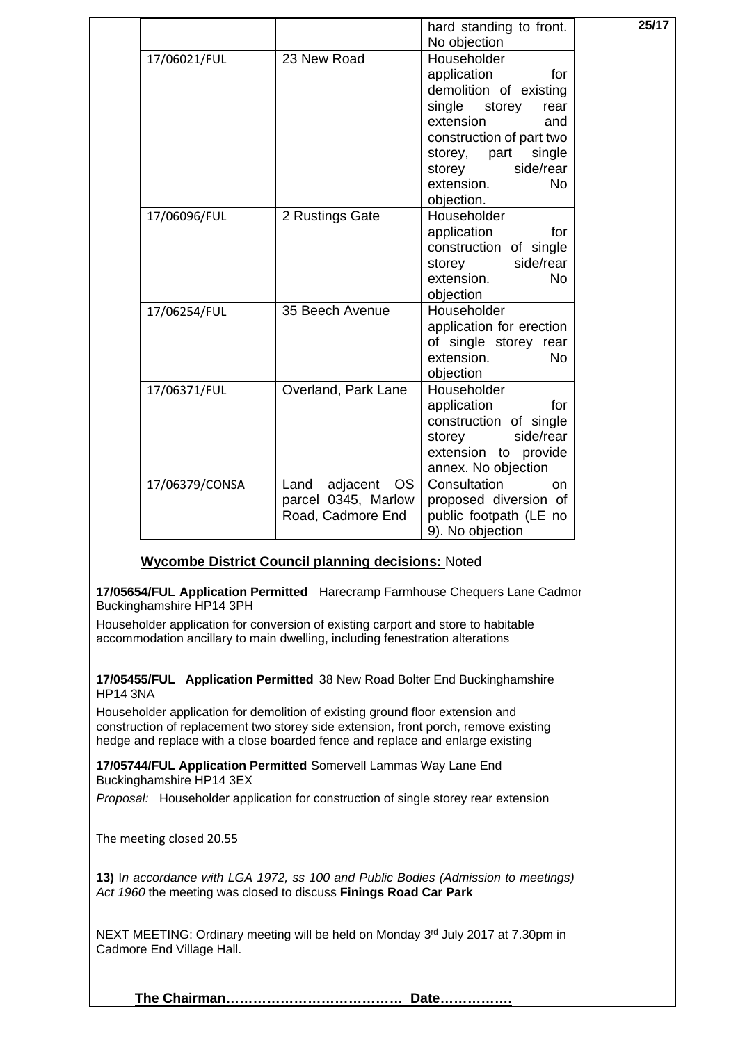|                |                                                                           | hard standing to front.<br>No objection                                                                                                                                                                                              | 25/17 |
|----------------|---------------------------------------------------------------------------|--------------------------------------------------------------------------------------------------------------------------------------------------------------------------------------------------------------------------------------|-------|
| 17/06021/FUL   | 23 New Road                                                               | Householder<br>application<br>for<br>demolition of existing<br>single<br>storey<br>rear<br>extension<br>and<br>construction of part two<br>storey,<br>part<br>single<br>side/rear<br>storey<br>extension.<br><b>No</b><br>objection. |       |
| 17/06096/FUL   | 2 Rustings Gate                                                           | Householder<br>application<br>for<br>construction of single<br>side/rear<br>storey<br>extension.<br><b>No</b><br>objection                                                                                                           |       |
| 17/06254/FUL   | 35 Beech Avenue                                                           | Householder<br>application for erection<br>of single storey rear<br>extension.<br><b>No</b><br>objection                                                                                                                             |       |
| 17/06371/FUL   | Overland, Park Lane                                                       | Householder<br>application<br>for<br>construction of single<br>side/rear<br>storey<br>extension to provide<br>annex. No objection                                                                                                    |       |
| 17/06379/CONSA | Land<br>adjacent<br><b>OS</b><br>parcel 0345, Marlow<br>Road, Cadmore End | Consultation<br>on<br>proposed diversion of<br>public footpath (LE no<br>9). No objection                                                                                                                                            |       |

## **Wycombe District Council planning decisions:** Noted

**17/05654/FUL Application Permitted** Harecramp Farmhouse Chequers Lane Cadmor Buckinghamshire HP14 3PH

Householder application for conversion of existing carport and store to habitable accommodation ancillary to main dwelling, including fenestration alterations

**17/05455/FUL Application Permitted** 38 New Road Bolter End Buckinghamshire HP14 3NA

Householder application for demolition of existing ground floor extension and construction of replacement two storey side extension, front porch, remove existing hedge and replace with a close boarded fence and replace and enlarge existing

**17/05744/FUL Application Permitted** Somervell Lammas Way Lane End Buckinghamshire HP14 3EX

*Proposal:* Householder application for construction of single storey rear extension

The meeting closed 20.55

**13)** I*n accordance with LGA 1972, ss 100 and Public Bodies (Admission to meetings) Act 1960* the meeting was closed to discuss **Finings Road Car Park**

NEXT MEETING: Ordinary meeting will be held on Monday 3<sup>rd</sup> July 2017 at 7.30pm in Cadmore End Village Hall.

**The Chairman………………………………… Date…………….**